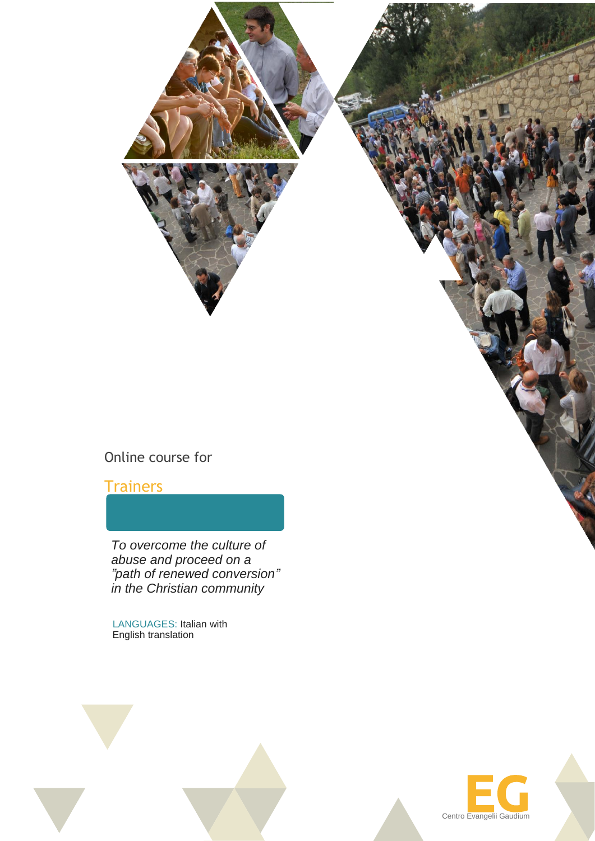

# Online course for

### **Trainers**

*To overcome the culture of abuse and proceed on a "path of renewed conversion" in the Christian community*

LANGUAGES: Italian with English translation